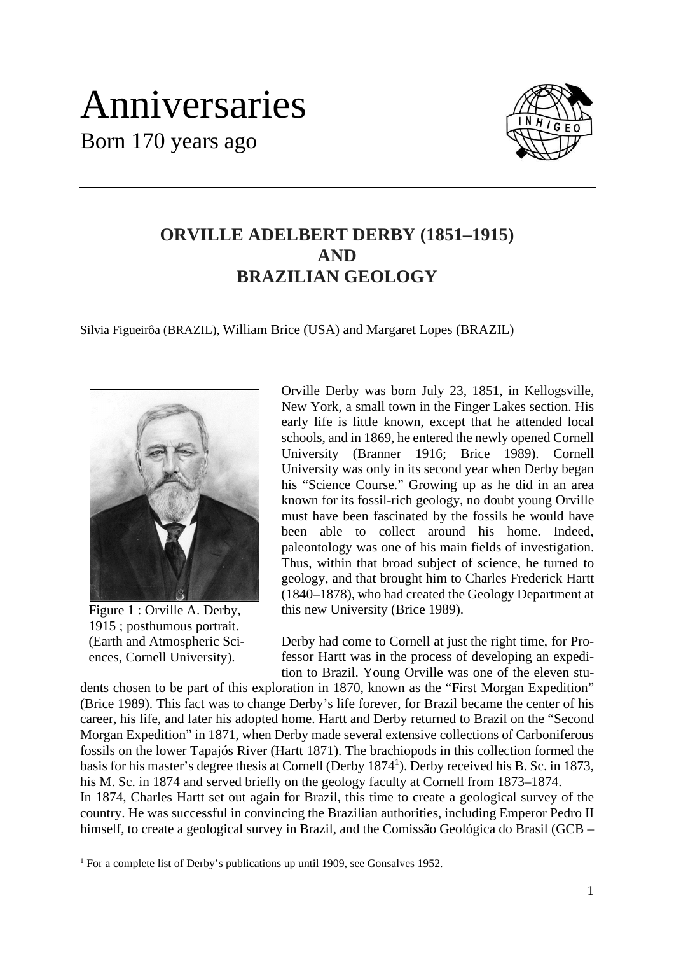## Anniversaries Born 170 years ago



## **ORVILLE ADELBERT DERBY (1851–1915) AND BRAZILIAN GEOLOGY**

Silvia Figueirôa (BRAZIL), William Brice (USA) and Margaret Lopes (BRAZIL)



Figure 1 : Orville A. Derby, 1915 ; posthumous portrait. (Earth and Atmospheric Sciences, Cornell University).

Orville Derby was born July 23, 1851, in Kellogsville, New York, a small town in the Finger Lakes section. His early life is little known, except that he attended local schools, and in 1869, he entered the newly opened Cornell University (Branner 1916; Brice 1989). Cornell University was only in its second year when Derby began his "Science Course." Growing up as he did in an area known for its fossil-rich geology, no doubt young Orville must have been fascinated by the fossils he would have been able to collect around his home. Indeed, paleontology was one of his main fields of investigation. Thus, within that broad subject of science, he turned to geology, and that brought him to Charles Frederick Hartt (1840–1878), who had created the Geology Department at this new University (Brice 1989).

Derby had come to Cornell at just the right time, for Professor Hartt was in the process of developing an expedition to Brazil. Young Orville was one of the eleven stu-

dents chosen to be part of this exploration in 1870, known as the "First Morgan Expedition" (Brice 1989). This fact was to change Derby's life forever, for Brazil became the center of his career, his life, and later his adopted home. Hartt and Derby returned to Brazil on the "Second Morgan Expedition" in 1871, when Derby made several extensive collections of Carboniferous fossils on the lower Tapajós River (Hartt 1871). The brachiopods in this collection formed the basis for his master's degree thesis at Cornell (Derby 1874<sup>1</sup>). Derby received his B. Sc. in 1873, his M. Sc. in 1874 and served briefly on the geology faculty at Cornell from 1873–1874. In 1874, Charles Hartt set out again for Brazil, this time to create a geological survey of the country. He was successful in convincing the Brazilian authorities, including Emperor Pedro II himself, to create a geological survey in Brazil, and the Comissão Geológica do Brasil (GCB –

<sup>&</sup>lt;sup>1</sup> For a complete list of Derby's publications up until 1909, see Gonsalves 1952.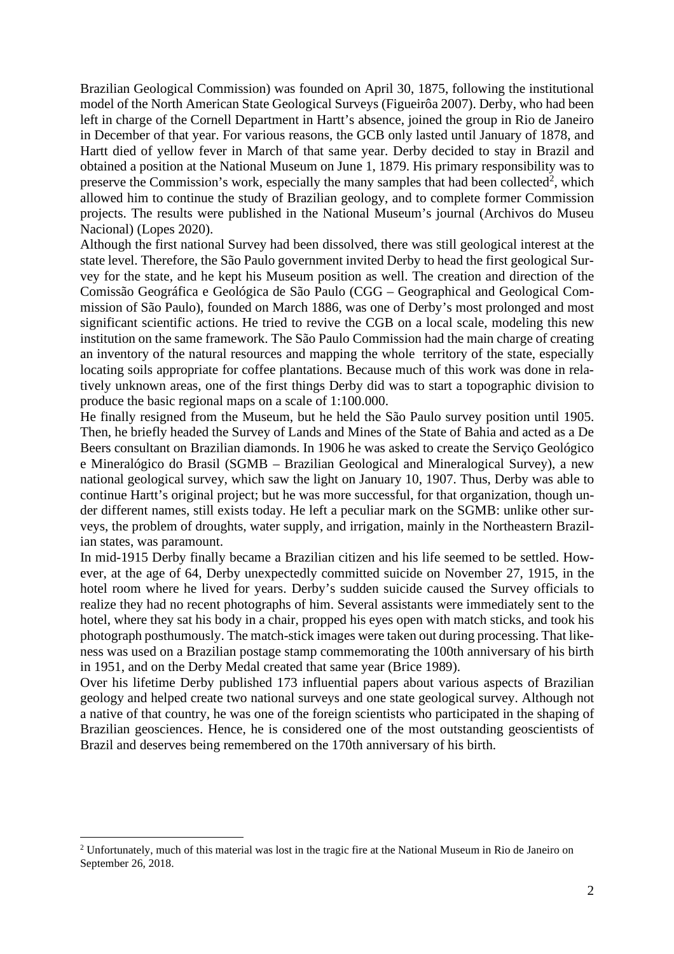Brazilian Geological Commission) was founded on April 30, 1875, following the institutional model of the North American State Geological Surveys (Figueirôa 2007). Derby, who had been left in charge of the Cornell Department in Hartt's absence, joined the group in Rio de Janeiro in December of that year. For various reasons, the GCB only lasted until January of 1878, and Hartt died of yellow fever in March of that same year. Derby decided to stay in Brazil and obtained a position at the National Museum on June 1, 1879. His primary responsibility was to preserve the Commission's work, especially the many samples that had been collected<sup>2</sup>, which allowed him to continue the study of Brazilian geology, and to complete former Commission projects. The results were published in the National Museum's journal (Archivos do Museu Nacional) (Lopes 2020).

Although the first national Survey had been dissolved, there was still geological interest at the state level. Therefore, the São Paulo government invited Derby to head the first geological Survey for the state, and he kept his Museum position as well. The creation and direction of the Comissão Geográfica e Geológica de São Paulo (CGG – Geographical and Geological Commission of São Paulo), founded on March 1886, was one of Derby's most prolonged and most significant scientific actions. He tried to revive the CGB on a local scale, modeling this new institution on the same framework. The São Paulo Commission had the main charge of creating an inventory of the natural resources and mapping the whole territory of the state, especially locating soils appropriate for coffee plantations. Because much of this work was done in relatively unknown areas, one of the first things Derby did was to start a topographic division to produce the basic regional maps on a scale of 1:100.000.

He finally resigned from the Museum, but he held the São Paulo survey position until 1905. Then, he briefly headed the Survey of Lands and Mines of the State of Bahia and acted as a De Beers consultant on Brazilian diamonds. In 1906 he was asked to create the Serviço Geológico e Mineralógico do Brasil (SGMB – Brazilian Geological and Mineralogical Survey), a new national geological survey, which saw the light on January 10, 1907. Thus, Derby was able to continue Hartt's original project; but he was more successful, for that organization, though under different names, still exists today. He left a peculiar mark on the SGMB: unlike other surveys, the problem of droughts, water supply, and irrigation, mainly in the Northeastern Brazilian states, was paramount.

In mid-1915 Derby finally became a Brazilian citizen and his life seemed to be settled. However, at the age of 64, Derby unexpectedly committed suicide on November 27, 1915, in the hotel room where he lived for years. Derby's sudden suicide caused the Survey officials to realize they had no recent photographs of him. Several assistants were immediately sent to the hotel, where they sat his body in a chair, propped his eyes open with match sticks, and took his photograph posthumously. The match-stick images were taken out during processing. That likeness was used on a Brazilian postage stamp commemorating the 100th anniversary of his birth in 1951, and on the Derby Medal created that same year (Brice 1989).

Over his lifetime Derby published 173 influential papers about various aspects of Brazilian geology and helped create two national surveys and one state geological survey. Although not a native of that country, he was one of the foreign scientists who participated in the shaping of Brazilian geosciences. Hence, he is considered one of the most outstanding geoscientists of Brazil and deserves being remembered on the 170th anniversary of his birth.

<sup>&</sup>lt;sup>2</sup> Unfortunately, much of this material was lost in the tragic fire at the National Museum in Rio de Janeiro on September 26, 2018.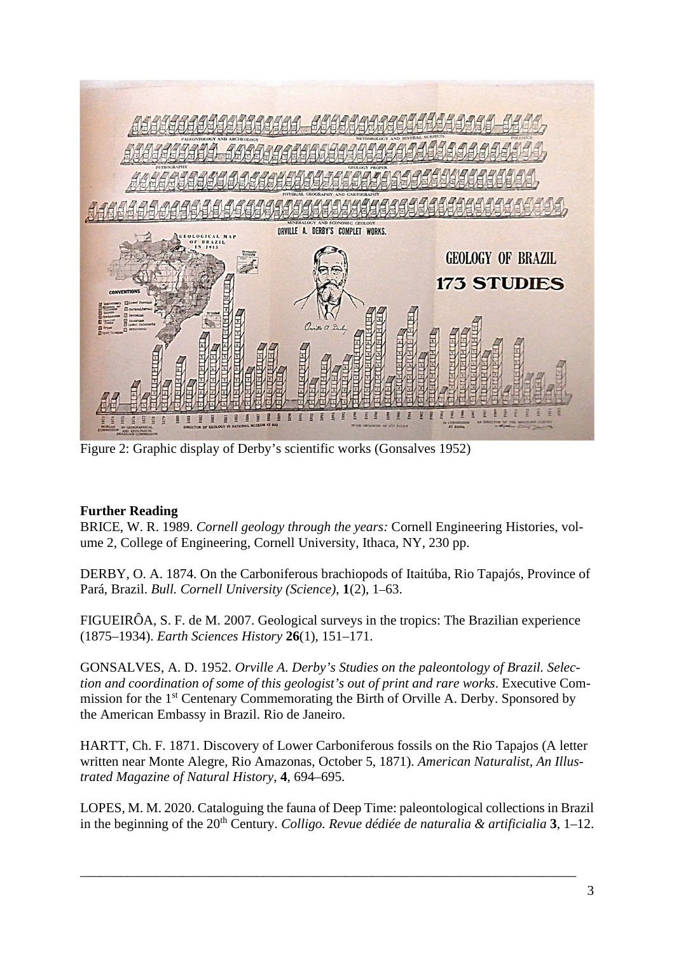

Figure 2: Graphic display of Derby's scientific works (Gonsalves 1952)

## **Further Reading**

BRICE, W. R. 1989. *Cornell geology through the years:* Cornell Engineering Histories, volume 2, College of Engineering, Cornell University, Ithaca, NY, 230 pp.

DERBY, O. A. 1874. On the Carboniferous brachiopods of Itaitúba, Rio Tapajós, Province of Pará, Brazil. *Bull. Cornell University (Science)*, **1**(2), 1–63.

FIGUEIRÔA, S. F. de M. 2007. Geological surveys in the tropics: The Brazilian experience (1875–1934). *Earth Sciences History* **26**(1), 151–171.

GONSALVES, A. D. 1952. *Orville A. Derby's Studies on the paleontology of Brazil. Selection and coordination of some of this geologist's out of print and rare works*. Executive Commission for the 1<sup>st</sup> Centenary Commemorating the Birth of Orville A. Derby. Sponsored by the American Embassy in Brazil. Rio de Janeiro.

HARTT, Ch. F. 1871. Discovery of Lower Carboniferous fossils on the Rio Tapajos (A letter written near Monte Alegre, Rio Amazonas, October 5, 1871). *American Naturalist, An Illustrated Magazine of Natural History*, **4**, 694–695.

LOPES, M. M. 2020. Cataloguing the fauna of Deep Time: paleontological collections in Brazil in the beginning of the 20<sup>th</sup> Century. *Colligo. Revue dédiée de naturalia & artificialia* **3**, 1–12.

\_\_\_\_\_\_\_\_\_\_\_\_\_\_\_\_\_\_\_\_\_\_\_\_\_\_\_\_\_\_\_\_\_\_\_\_\_\_\_\_\_\_\_\_\_\_\_\_\_\_\_\_\_\_\_\_\_\_\_\_\_\_\_\_\_\_\_\_\_\_\_\_\_